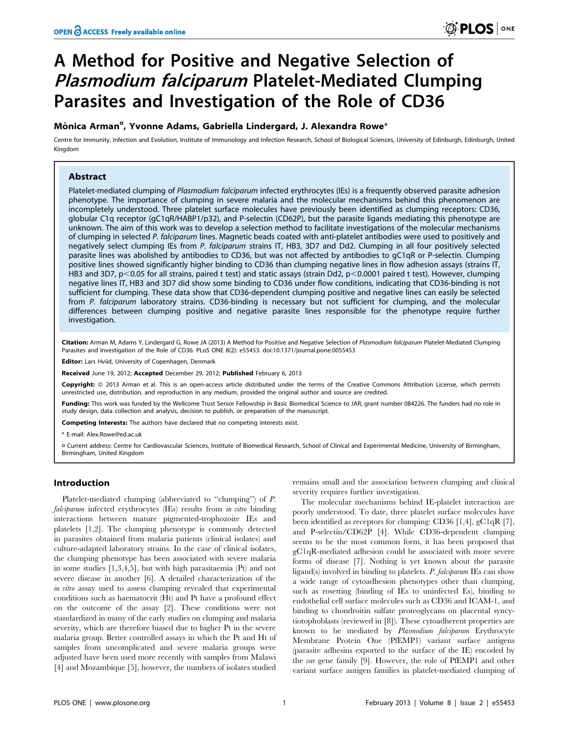# A Method for Positive and Negative Selection of Plasmodium falciparum Platelet-Mediated Clumping Parasites and Investigation of the Role of CD36

## Mònica Arman<sup>¤</sup>, Yvonne Adams, Gabriella Lindergard, J. Alexandra Rowe\*

Centre for Immunity, Infection and Evolution, Institute of Immunology and Infection Research, School of Biological Sciences, University of Edinburgh, Edinburgh, United Kingdom

### Abstract

Platelet-mediated clumping of Plasmodium falciparum infected erythrocytes (IEs) is a frequently observed parasite adhesion phenotype. The importance of clumping in severe malaria and the molecular mechanisms behind this phenomenon are incompletely understood. Three platelet surface molecules have previously been identified as clumping receptors: CD36, globular C1q receptor (gC1qR/HABP1/p32), and P-selectin (CD62P), but the parasite ligands mediating this phenotype are unknown. The aim of this work was to develop a selection method to facilitate investigations of the molecular mechanisms of clumping in selected P. falciparum lines. Magnetic beads coated with anti-platelet antibodies were used to positively and negatively select clumping IEs from P. falciparum strains IT, HB3, 3D7 and Dd2. Clumping in all four positively selected parasite lines was abolished by antibodies to CD36, but was not affected by antibodies to gC1qR or P-selectin. Clumping positive lines showed significantly higher binding to CD36 than clumping negative lines in flow adhesion assays (strains IT, HB3 and 3D7, p<0.05 for all strains, paired t test) and static assays (strain Dd2, p<0.0001 paired t test). However, clumping negative lines IT, HB3 and 3D7 did show some binding to CD36 under flow conditions, indicating that CD36-binding is not sufficient for clumping. These data show that CD36-dependent clumping positive and negative lines can easily be selected from P. falciparum laboratory strains. CD36-binding is necessary but not sufficient for clumping, and the molecular differences between clumping positive and negative parasite lines responsible for the phenotype require further investigation.

Citation: Arman M, Adams Y, Lindergard G, Rowe JA (2013) A Method for Positive and Negative Selection of Plasmodium falciparum Platelet-Mediated Clumping Parasites and Investigation of the Role of CD36. PLoS ONE 8(2): e55453. doi:10.1371/journal.pone.0055453

Editor: Lars Hviid, University of Copenhagen, Denmark

Received June 19, 2012; Accepted December 29, 2012; Published February 6, 2013

Copyright: © 2013 Arman et al. This is an open-access article distributed under the terms of the Creative Commons Attribution License, which permits unrestricted use, distribution, and reproduction in any medium, provided the original author and source are credited.

Funding: This work was funded by the Wellcome Trust Senior Fellowship in Basic Biomedical Science to JAR, grant number 084226. The funders had no role in study design, data collection and analysis, decision to publish, or preparation of the manuscript.

Competing Interests: The authors have declared that no competing interests exist.

\* E-mail: Alex.Rowe@ed.ac.uk

¤ Current address: Centre for Cardiovascular Sciences, Institute of Biomedical Research, School of Clinical and Experimental Medicine, University of Birmingham, Birmingham, United Kingdom

#### Introduction

Platelet-mediated clumping (abbreviated to ''clumping'') of P. falciparum infected erythrocytes (IEs) results from in vitro binding interactions between mature pigmented-trophozoite IEs and platelets [1,2]. The clumping phenotype is commonly detected in parasites obtained from malaria patients (clinical isolates) and culture-adapted laboratory strains. In the case of clinical isolates, the clumping phenotype has been associated with severe malaria in some studies [1,3,4,5], but with high parasitaemia (Pt) and not severe disease in another [6]. A detailed characterization of the in vitro assay used to assess clumping revealed that experimental conditions such as haematocrit (Ht) and Pt have a profound effect on the outcome of the assay [2]. These conditions were not standardized in many of the early studies on clumping and malaria severity, which are therefore biased due to higher Pt in the severe malaria group. Better controlled assays in which the Pt and Ht of samples from uncomplicated and severe malaria groups were adjusted have been used more recently with samples from Malawi [4] and Mozambique [5], however, the numbers of isolates studied

remains small and the association between clumping and clinical severity requires further investigation.

The molecular mechanisms behind IE-platelet interaction are poorly understood. To date, three platelet surface molecules have been identified as receptors for clumping: CD36 [1,4], gC1qR [7], and P-selectin/CD62P [4]. While CD36-dependent clumping seems to be the most common form, it has been proposed that gC1qR-mediated adhesion could be associated with more severe forms of disease [7]. Nothing is yet known about the parasite ligand(s) involved in binding to platelets. P. falciparum IEs can show a wide range of cytoadhesion phenotypes other than clumping, such as rosetting (binding of IEs to uninfected Es), binding to endothelial cell surface molecules such as CD36 and ICAM-1, and binding to chondroitin sulfate proteoglycans on placental syncytiotophoblasts (reviewed in [8]). These cytoadherent properties are known to be mediated by Plasmodium falciparum Erythrocyte Membrane Protein One (PfEMP1) variant surface antigens (parasite adhesins exported to the surface of the IE) encoded by the var gene family [9]. However, the role of PfEMP1 and other variant surface antigen families in platelet-mediated clumping of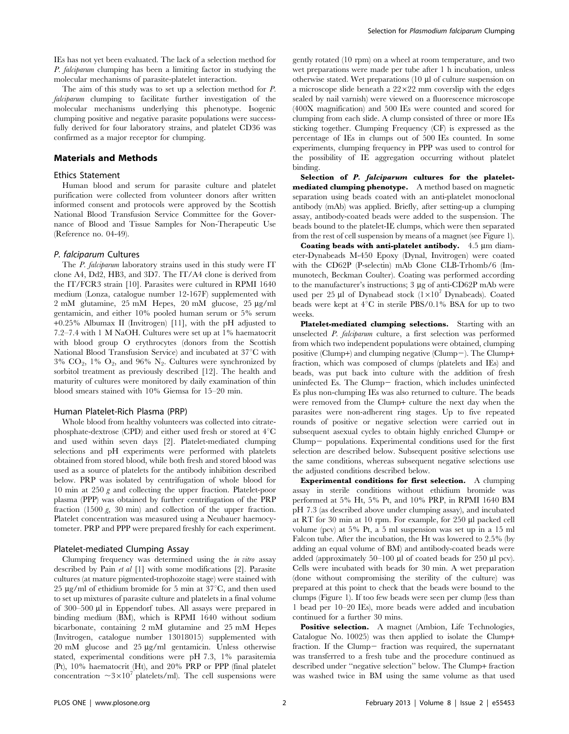IEs has not yet been evaluated. The lack of a selection method for P. falciparum clumping has been a limiting factor in studying the molecular mechanisms of parasite-platelet interaction.

The aim of this study was to set up a selection method for P. falciparum clumping to facilitate further investigation of the molecular mechanisms underlying this phenotype. Isogenic clumping positive and negative parasite populations were successfully derived for four laboratory strains, and platelet CD36 was confirmed as a major receptor for clumping.

#### Materials and Methods

#### Ethics Statement

Human blood and serum for parasite culture and platelet purification were collected from volunteer donors after written informed consent and protocols were approved by the Scottish National Blood Transfusion Service Committee for the Governance of Blood and Tissue Samples for Non-Therapeutic Use (Reference no. 04-49).

#### P. falciparum Cultures

The *P. falciparum* laboratory strains used in this study were IT clone A4, Dd2, HB3, and 3D7. The IT/A4 clone is derived from the IT/FCR3 strain [10]. Parasites were cultured in RPMI 1640 medium (Lonza, catalogue number 12-167F) supplemented with 2 mM glutamine, 25 mM Hepes, 20 mM glucose, 25 µg/ml gentamicin, and either 10% pooled human serum or 5% serum +0.25% Albumax II (Invitrogen) [11], with the pH adjusted to 7.2–7.4 with 1 M NaOH. Cultures were set up at 1% haematocrit with blood group O erythrocytes (donors from the Scottish National Blood Transfusion Service) and incubated at  $37^{\circ}$ C with  $3\%$  CO<sub>2</sub>,  $1\%$  O<sub>2</sub>, and  $96\%$  N<sub>2</sub>. Cultures were synchronized by sorbitol treatment as previously described [12]. The health and maturity of cultures were monitored by daily examination of thin blood smears stained with 10% Giemsa for 15–20 min.

#### Human Platelet-Rich Plasma (PRP)

Whole blood from healthy volunteers was collected into citratephosphate-dextrose (CPD) and either used fresh or stored at  $4^{\circ}$ C and used within seven days [2]. Platelet-mediated clumping selections and pH experiments were performed with platelets obtained from stored blood, while both fresh and stored blood was used as a source of platelets for the antibody inhibition described below. PRP was isolated by centrifugation of whole blood for 10 min at 250 g and collecting the upper fraction. Platelet-poor plasma (PPP) was obtained by further centrifugation of the PRP fraction (1500 g, 30 min) and collection of the upper fraction. Platelet concentration was measured using a Neubauer haemocytometer. PRP and PPP were prepared freshly for each experiment.

#### Platelet-mediated Clumping Assay

Clumping frequency was determined using the in vitro assay described by Pain et al [1] with some modifications [2]. Parasite cultures (at mature pigmented-trophozoite stage) were stained with 25  $\mu$ g/ml of ethidium bromide for 5 min at 37 $\degree$ C, and then used to set up mixtures of parasite culture and platelets in a final volume of 300–500 µl in Eppendorf tubes. All assays were prepared in binding medium (BM), which is RPMI 1640 without sodium bicarbonate, containing 2 mM glutamine and 25 mM Hepes (Invitrogen, catalogue number 13018015) supplemented with 20 mM glucose and 25 mg/ml gentamicin. Unless otherwise stated, experimental conditions were pH 7.3, 1% parasitemia (Pt), 10% haematocrit (Ht), and 20% PRP or PPP (final platelet concentration  $\sim 3 \times 10^{7}$  platelets/ml). The cell suspensions were

gently rotated (10 rpm) on a wheel at room temperature, and two wet preparations were made per tube after 1 h incubation, unless otherwise stated. Wet preparations  $(10 \mu)$  of culture suspension on a microscope slide beneath a  $22\times22$  mm coverslip with the edges sealed by nail varnish) were viewed on a fluorescence microscope (400X magnification) and 500 IEs were counted and scored for clumping from each slide. A clump consisted of three or more IEs sticking together. Clumping Frequency (CF) is expressed as the percentage of IEs in clumps out of 500 IEs counted. In some experiments, clumping frequency in PPP was used to control for the possibility of IE aggregation occurring without platelet binding.

Selection of P. falciparum cultures for the plateletmediated clumping phenotype. A method based on magnetic separation using beads coated with an anti-platelet monoclonal antibody (mAb) was applied. Briefly, after setting-up a clumping assay, antibody-coated beads were added to the suspension. The beads bound to the platelet-IE clumps, which were then separated from the rest of cell suspension by means of a magnet (see Figure 1).

Coating beads with anti-platelet antibody.  $4.5 \mu m$  diameter-Dynabeads M-450 Epoxy (Dynal, Invitrogen) were coated with the CD62P (P-selectin) mAb Clone CLB-Trhomb/6 (Immunotech, Beckman Coulter). Coating was performed according to the manufacturer's instructions; 3 µg of anti-CD62P mAb were used per 25 µl of Dynabead stock  $(1\times10^7 \text{ Dynabeads})$ . Coated beads were kept at  $4^{\circ}$ C in sterile PBS/0.1% BSA for up to two weeks.

Platelet-mediated clumping selections. Starting with an unselected P. falciparum culture, a first selection was performed from which two independent populations were obtained, clumping positive (Clump+) and clumping negative (Clump-). The Clump+ fraction, which was composed of clumps (platelets and IEs) and beads, was put back into culture with the addition of fresh uninfected Es. The Clump- fraction, which includes uninfected Es plus non-clumping IEs was also returned to culture. The beads were removed from the Clump+ culture the next day when the parasites were non-adherent ring stages. Up to five repeated rounds of positive or negative selection were carried out in subsequent asexual cycles to obtain highly enriched Clump+ or Clump- populations. Experimental conditions used for the first selection are described below. Subsequent positive selections use the same conditions, whereas subsequent negative selections use the adjusted conditions described below.

Experimental conditions for first selection. A clumping assay in sterile conditions without ethidium bromide was performed at 5% Ht, 5% Pt, and 10% PRP, in RPMI 1640 BM pH 7.3 (as described above under clumping assay), and incubated at RT for 30 min at 10 rpm. For example, for 250 ml packed cell volume (pcv) at 5% Pt, a 5 ml suspension was set up in a 15 ml Falcon tube. After the incubation, the Ht was lowered to 2.5% (by adding an equal volume of BM) and antibody-coated beads were added (approximately  $50-100 \mu l$  of coated beads for  $250 \mu l$  pcv). Cells were incubated with beads for 30 min. A wet preparation (done without compromising the sterility of the culture) was prepared at this point to check that the beads were bound to the clumps (Figure 1). If too few beads were seen per clump (less than 1 bead per 10–20 IEs), more beads were added and incubation continued for a further 30 mins.

Positive selection. A magnet (Ambion, Life Technologies, Catalogue No. 10025) was then applied to isolate the Clump+ fraction. If the Clump- fraction was required, the supernatant was transferred to a fresh tube and the procedure continued as described under ''negative selection'' below. The Clump+ fraction was washed twice in BM using the same volume as that used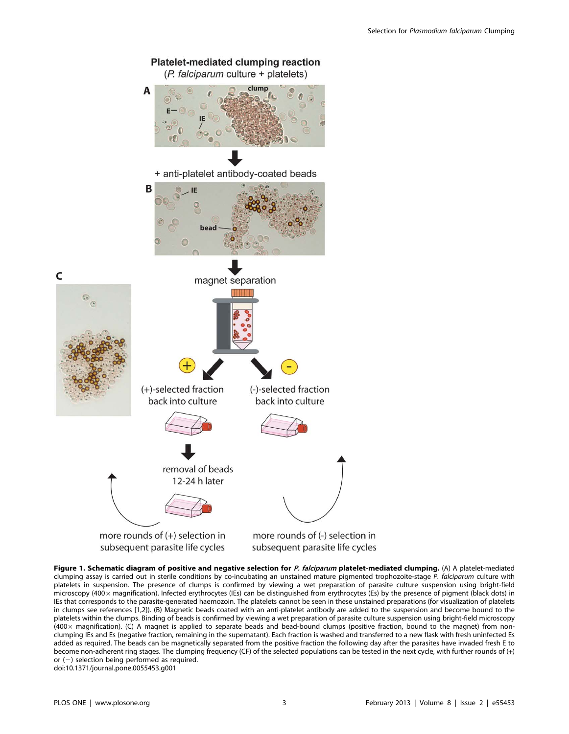

Figure 1. Schematic diagram of positive and negative selection for P. falciparum platelet-mediated clumping. (A) A platelet-mediated clumping assay is carried out in sterile conditions by co-incubating an unstained mature pigmented trophozoite-stage P. falciparum culture with platelets in suspension. The presence of clumps is confirmed by viewing a wet preparation of parasite culture suspension using bright-field microscopy (400x magnification). Infected erythrocytes (IEs) can be distinguished from erythrocytes (Es) by the presence of pigment (black dots) in IEs that corresponds to the parasite-generated haemozoin. The platelets cannot be seen in these unstained preparations (for visualization of platelets in clumps see references [1,2]). (B) Magnetic beads coated with an anti-platelet antibody are added to the suspension and become bound to the platelets within the clumps. Binding of beads is confirmed by viewing a wet preparation of parasite culture suspension using bright-field microscopy  $(400\times$  magnification). (C) A magnet is applied to separate beads and bead-bound clumps (positive fraction, bound to the magnet) from nonclumping IEs and Es (negative fraction, remaining in the supernatant). Each fraction is washed and transferred to a new flask with fresh uninfected Es added as required. The beads can be magnetically separated from the positive fraction the following day after the parasites have invaded fresh E to become non-adherent ring stages. The clumping frequency (CF) of the selected populations can be tested in the next cycle, with further rounds of (+) or  $(-)$  selection being performed as required. doi:10.1371/journal.pone.0055453.g001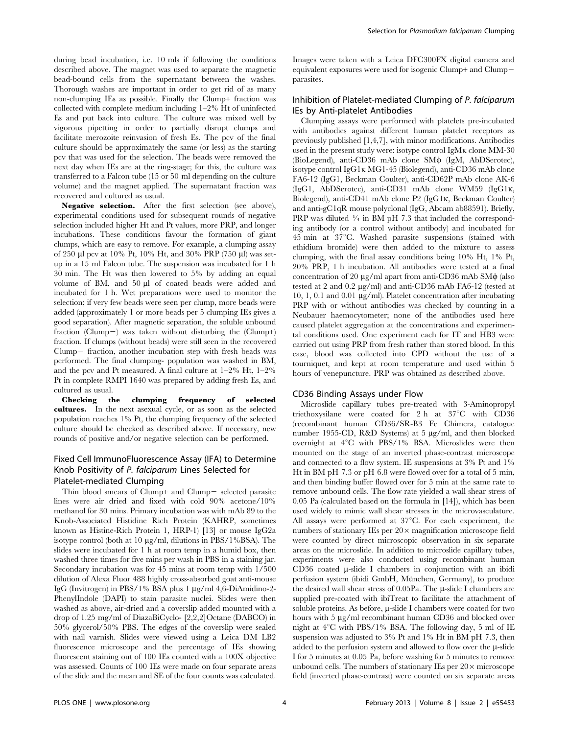during bead incubation, i.e. 10 mls if following the conditions described above. The magnet was used to separate the magnetic bead-bound cells from the supernatant between the washes. Thorough washes are important in order to get rid of as many non-clumping IEs as possible. Finally the Clump+ fraction was collected with complete medium including 1–2% Ht of uninfected Es and put back into culture. The culture was mixed well by vigorous pipetting in order to partially disrupt clumps and facilitate merozoite reinvasion of fresh Es. The pcv of the final culture should be approximately the same (or less) as the starting pcv that was used for the selection. The beads were removed the next day when IEs are at the ring-stage; for this, the culture was transferred to a Falcon tube (15 or 50 ml depending on the culture volume) and the magnet applied. The supernatant fraction was recovered and cultured as usual.

Negative selection. After the first selection (see above), experimental conditions used for subsequent rounds of negative selection included higher Ht and Pt values, more PRP, and longer incubations. These conditions favour the formation of giant clumps, which are easy to remove. For example, a clumping assay of 250 ml pcv at 10% Pt, 10% Ht, and 30% PRP (750 ml) was setup in a 15 ml Falcon tube. The suspension was incubated for 1 h 30 min. The Ht was then lowered to 5% by adding an equal volume of BM, and 50 µl of coated beads were added and incubated for 1 h. Wet preparations were used to monitor the selection; if very few beads were seen per clump, more beads were added (approximately 1 or more beads per 5 clumping IEs gives a good separation). After magnetic separation, the soluble unbound fraction (Clump-) was taken without disturbing the (Clump+) fraction. If clumps (without beads) were still seen in the recovered  $Clump-$  fraction, another incubation step with fresh beads was performed. The final clumping- population was washed in BM, and the pcv and Pt measured. A final culture at 1–2% Ht, 1–2% Pt in complete RMPI 1640 was prepared by adding fresh Es, and cultured as usual.

Checking the clumping frequency of selected cultures. In the next asexual cycle, or as soon as the selected population reaches 1% Pt, the clumping frequency of the selected culture should be checked as described above. If necessary, new rounds of positive and/or negative selection can be performed.

## Fixed Cell ImmunoFluorescence Assay (IFA) to Determine Knob Positivity of P. falciparum Lines Selected for Platelet-mediated Clumping

Thin blood smears of Clump+ and Clump $-$  selected parasite lines were air dried and fixed with cold 90% acetone/10% methanol for 30 mins. Primary incubation was with mAb 89 to the Knob-Associated Histidine Rich Protein (KAHRP, sometimes known as Histine-Rich Protein 1, HRP-1) [13] or mouse IgG2a isotype control (both at  $10 \mu g/ml$ , dilutions in PBS/1%BSA). The slides were incubated for 1 h at room temp in a humid box, then washed three times for five mins per wash in PBS in a staining jar. Secondary incubation was for 45 mins at room temp with 1/500 dilution of Alexa Fluor 488 highly cross-absorbed goat anti-mouse IgG (Invitrogen) in PBS/1% BSA plus 1  $\mu$ g/ml 4,6-DiAmidino-2-PhenylIndole (DAPI) to stain parasite nuclei. Slides were then washed as above, air-dried and a coverslip added mounted with a drop of 1.25 mg/ml of DiazaBiCyclo- [2,2,2]Octane (DABCO) in 50% glycerol/50% PBS. The edges of the coverslip were sealed with nail varnish. Slides were viewed using a Leica DM LB2 fluorescence microscope and the percentage of IEs showing fluorescent staining out of 100 IEs counted with a 100X objective was assessed. Counts of 100 IEs were made on four separate areas of the slide and the mean and SE of the four counts was calculated.

Images were taken with a Leica DFC300FX digital camera and equivalent exposures were used for isogenic Clump+ and Clump2 parasites.

## Inhibition of Platelet-mediated Clumping of P. falciparum IEs by Anti-platelet Antibodies

Clumping assays were performed with platelets pre-incubated with antibodies against different human platelet receptors as previously published [1,4,7], with minor modifications. Antibodies used in the present study were: isotype control IgMk clone MM-30 (BioLegend), anti-CD36 mAb clone SM $\phi$  (IgM, AbDSerotec), isotype control IgG1k MG1-45 (Biolegend), anti-CD36 mAb clone FA6-12 (IgG1, Beckman Coulter), anti-CD62P mAb clone AK-6 (IgG1, AbDSerotec), anti-CD31 mAb clone WM59 (IgG1k, Biolegend), anti-CD41 mAb clone P2 (IgG1k, Beckman Coulter) and anti-gC1qR mouse polyclonal (IgG, Abcam ab88591). Briefly, PRP was diluted  $\frac{1}{4}$  in BM pH 7.3 that included the corresponding antibody (or a control without antibody) and incubated for  $45 \text{ min}$  at  $37^{\circ}\text{C}$ . Washed parasite suspensions (stained with ethidium bromide) were then added to the mixture to assess clumping, with the final assay conditions being 10% Ht, 1% Pt, 20% PRP, 1 h incubation. All antibodies were tested at a final concentration of 20  $\mu$ g/ml apart from anti-CD36 mAb SM $\phi$  (also tested at 2 and 0.2  $\mu$ g/ml) and anti-CD36 mAb FA6-12 (tested at 10, 1, 0.1 and 0.01  $\mu$ g/ml). Platelet concentration after incubating PRP with or without antibodies was checked by counting in a Neubauer haemocytometer; none of the antibodies used here caused platelet aggregation at the concentrations and experimental conditions used. One experiment each for IT and HB3 were carried out using PRP from fresh rather than stored blood. In this case, blood was collected into CPD without the use of a tourniquet, and kept at room temperature and used within 5 hours of venepuncture. PRP was obtained as described above.

#### CD36 Binding Assays under Flow

Microslide capillary tubes pre-treated with 3-Aminopropyl triethoxysilane were coated for  $2 h$  at  $37^{\circ}$ C with CD36 (recombinant human CD36/SR-B3 Fc Chimera, catalogue number 1955-CD, R&D Systems) at 5 µg/ml, and then blocked overnight at  $4^{\circ}$ C with PBS/1% BSA. Microslides were then mounted on the stage of an inverted phase-contrast microscope and connected to a flow system. IE suspensions at 3% Pt and 1% Ht in BM pH 7.3 or pH 6.8 were flowed over for a total of 5 min, and then binding buffer flowed over for 5 min at the same rate to remove unbound cells. The flow rate yielded a wall shear stress of 0.05 Pa (calculated based on the formula in [14]), which has been used widely to mimic wall shear stresses in the microvasculature. All assays were performed at  $37^{\circ}$ C. For each experiment, the numbers of stationary IEs per  $20 \times$  magnification microscope field were counted by direct microscopic observation in six separate areas on the microslide. In addition to microslide capillary tubes, experiments were also conducted using recombinant human CD36 coated  $\mu$ -slide I chambers in conjunction with an ibidi perfusion system (ibidi GmbH, München, Germany), to produce the desired wall shear stress of  $0.05Pa$ . The  $\mu$ -slide I chambers are supplied pre-coated with ibiTreat to facilitate the attachment of soluble proteins. As before,  $\mu$ -slide I chambers were coated for two hours with 5 µg/ml recombinant human CD36 and blocked over night at  $4^{\circ}$ C with PBS/1% BSA. The following day, 5 ml of IE suspension was adjusted to 3% Pt and 1% Ht in BM pH 7.3, then added to the perfusion system and allowed to flow over the  $\mu$ -slide I for 5 minutes at 0.05 Pa, before washing for 5 minutes to remove unbound cells. The numbers of stationary IEs per  $20 \times$  microscope field (inverted phase-contrast) were counted on six separate areas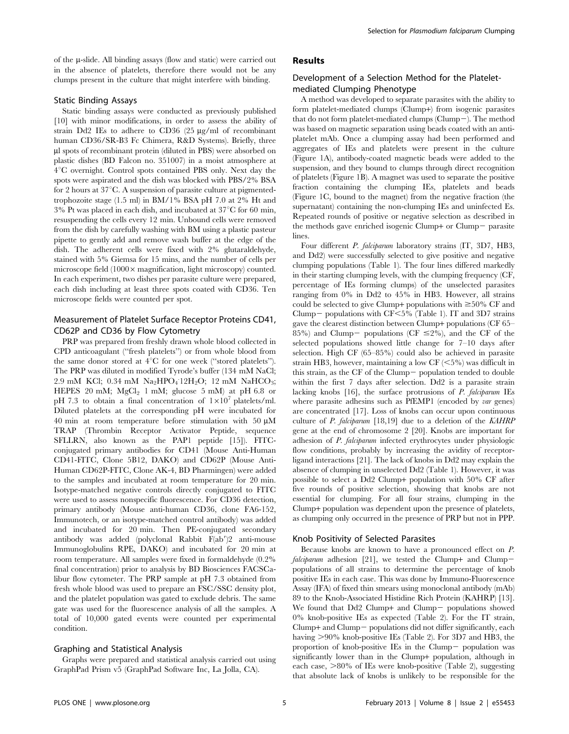of the µ-slide. All binding assays (flow and static) were carried out in the absence of platelets, therefore there would not be any clumps present in the culture that might interfere with binding.

#### Static Binding Assays

Static binding assays were conducted as previously published [10] with minor modifications, in order to assess the ability of strain Dd2 IEs to adhere to CD36  $(25 \mu g/ml)$  of recombinant human CD36/SR-B3 Fc Chimera, R&D Systems). Briefly, three ml spots of recombinant protein (diluted in PBS) were absorbed on plastic dishes (BD Falcon no. 351007) in a moist atmosphere at 4°C overnight. Control spots contained PBS only. Next day the spots were aspirated and the dish was blocked with PBS/2% BSA for 2 hours at  $37^{\circ}$ C. A suspension of parasite culture at pigmentedtrophozoite stage (1.5 ml) in BM/1% BSA pH 7.0 at 2% Ht and  $3\%$  Pt was placed in each dish, and incubated at  $37^{\circ}$ C for 60 min, resuspending the cells every 12 min. Unbound cells were removed from the dish by carefully washing with BM using a plastic pasteur pipette to gently add and remove wash buffer at the edge of the dish. The adherent cells were fixed with 2% glutaraldehyde, stained with 5% Giemsa for 15 mins, and the number of cells per microscope field  $(1000 \times$  magnification, light microscopy) counted. In each experiment, two dishes per parasite culture were prepared, each dish including at least three spots coated with CD36. Ten microscope fields were counted per spot.

## Measurement of Platelet Surface Receptor Proteins CD41, CD62P and CD36 by Flow Cytometry

PRP was prepared from freshly drawn whole blood collected in CPD anticoagulant (''fresh platelets'') or from whole blood from the same donor stored at  $4^{\circ}$ C for one week ("stored platelets"). The PRP was diluted in modified Tyrode's buffer (134 mM NaCl; 2.9 mM KCl; 0.34 mM  $\text{Na}_2\text{HPO}_4$  12H<sub>2</sub>O; 12 mM  $\text{NaHCO}_3$ ; HEPES 20 mM;  $MgCl<sub>2</sub> 1$  mM; glucose 5 mM) at pH 6.8 or pH 7.3 to obtain a final concentration of  $1\times10^7$  platelets/ml. Diluted platelets at the corresponding pH were incubated for 40 min at room temperature before stimulation with 50  $\mu$ M TRAP (Thrombin Receptor Activator Peptide, sequence SFLLRN, also known as the PAP1 peptide [15]). FITCconjugated primary antibodies for CD41 (Mouse Anti-Human CD41-FITC, Clone 5B12, DAKO) and CD62P (Mouse Anti-Human CD62P-FITC, Clone AK-4, BD Pharmingen) were added to the samples and incubated at room temperature for 20 min. Isotype-matched negative controls directly conjugated to FITC were used to assess nonspecific fluorescence. For CD36 detection, primary antibody (Mouse anti-human CD36, clone FA6-152, Immunotech, or an isotype-matched control antibody) was added and incubated for 20 min. Then PE-conjugated secondary antibody was added (polyclonal Rabbit  $F(ab')$ ? anti-mouse Immunoglobulins RPE, DAKO) and incubated for 20 min at room temperature. All samples were fixed in formaldehyde (0.2% final concentration) prior to analysis by BD Biosciences FACSCalibur flow cytometer. The PRP sample at pH 7.3 obtained from fresh whole blood was used to prepare an FSC/SSC density plot, and the platelet population was gated to exclude debris. The same gate was used for the fluorescence analysis of all the samples. A total of 10,000 gated events were counted per experimental condition.

### Graphing and Statistical Analysis

Graphs were prepared and statistical analysis carried out using GraphPad Prism v5 (GraphPad Software Inc, La Jolla, CA).

#### Results

## Development of a Selection Method for the Plateletmediated Clumping Phenotype

A method was developed to separate parasites with the ability to form platelet-mediated clumps (Clump+) from isogenic parasites that do not form platelet-mediated clumps (Clump $-$ ). The method was based on magnetic separation using beads coated with an antiplatelet mAb. Once a clumping assay had been performed and aggregates of IEs and platelets were present in the culture (Figure 1A), antibody-coated magnetic beads were added to the suspension, and they bound to clumps through direct recognition of platelets (Figure 1B). A magnet was used to separate the positive fraction containing the clumping IEs, platelets and beads (Figure 1C, bound to the magnet) from the negative fraction (the supernatant) containing the non-clumping IEs and uninfected Es. Repeated rounds of positive or negative selection as described in the methods gave enriched isogenic Clump+ or Clump $-$  parasite lines.

Four different P. falciparum laboratory strains (IT, 3D7, HB3, and Dd2) were successfully selected to give positive and negative clumping populations (Table 1). The four lines differed markedly in their starting clumping levels, with the clumping frequency (CF, percentage of IEs forming clumps) of the unselected parasites ranging from 0% in Dd2 to 45% in HB3. However, all strains could be selected to give Clump+ populations with  $\geq 50\%$  CF and Clump- populations with  $CF < 5\%$  (Table 1). IT and 3D7 strains gave the clearest distinction between Clump+ populations (CF 65– 85%) and Clump- populations (CF  $\leq$ 2%), and the CF of the selected populations showed little change for 7–10 days after selection. High CF (65–85%) could also be achieved in parasite strain HB3, however, maintaining a low CF  $\left( \langle 5\% \rangle \right)$  was difficult in this strain, as the CF of the Clump- population tended to double within the first 7 days after selection. Dd2 is a parasite strain lacking knobs [16], the surface protrusions of P. falciparum IEs where parasite adhesins such as PfEMP1 (encoded by var genes) are concentrated [17]. Loss of knobs can occur upon continuous culture of P. falciparum [18,19] due to a deletion of the KAHRP gene at the end of chromosome 2 [20]. Knobs are important for adhesion of P. falciparum infected erythrocytes under physiologic flow conditions, probably by increasing the avidity of receptorligand interactions [21]. The lack of knobs in Dd2 may explain the absence of clumping in unselected Dd2 (Table 1). However, it was possible to select a Dd2 Clump+ population with 50% CF after five rounds of positive selection, showing that knobs are not essential for clumping. For all four strains, clumping in the Clump+ population was dependent upon the presence of platelets, as clumping only occurred in the presence of PRP but not in PPP.

#### Knob Positivity of Selected Parasites

Because knobs are known to have a pronounced effect on P. falciparum adhesion [21], we tested the Clump+ and Clumppopulations of all strains to determine the percentage of knob positive IEs in each case. This was done by Immuno-Fluorescence Assay (IFA) of fixed thin smears using monoclonal antibody (mAb) 89 to the Knob-Associated Histidine Rich Protein (KAHRP) [13]. We found that  $Dd2$  Clump+ and Clump- populations showed 0% knob-positive IEs as expected (Table 2). For the IT strain,  $Clump+$  and  $Clump-$  populations did not differ significantly, each having >90% knob-positive IEs (Table 2). For 3D7 and HB3, the proportion of knob-positive IEs in the Clump $-$  population was significantly lower than in the Clump+ population, although in each case,  $>80\%$  of IEs were knob-positive (Table 2), suggesting that absolute lack of knobs is unlikely to be responsible for the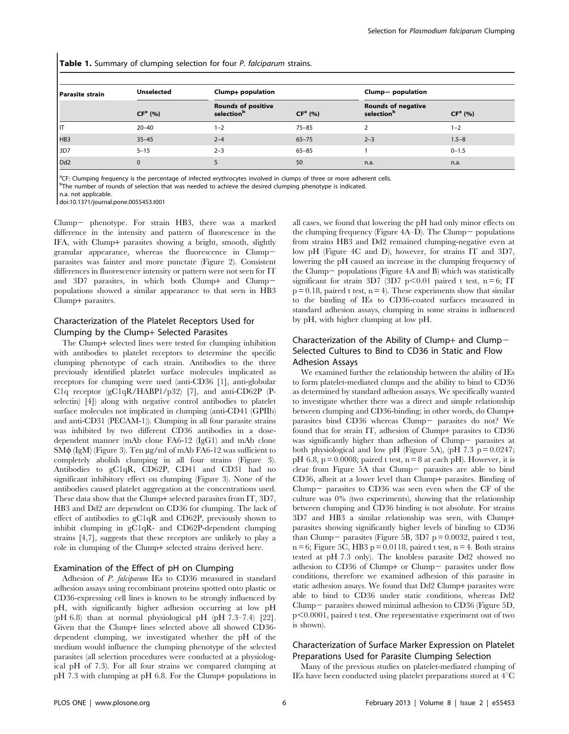Table 1. Summary of clumping selection for four P. falciparum strains.

| <b>Parasite strain</b> | <b>Unselected</b> | Clump+ population                                   |           | Clump- population                                   |           |  |
|------------------------|-------------------|-----------------------------------------------------|-----------|-----------------------------------------------------|-----------|--|
|                        | $CFa$ (%)         | <b>Rounds of positive</b><br>selection <sup>b</sup> | $CFa$ (%) | <b>Rounds of negative</b><br>selection <sup>b</sup> | $CFa$ (%) |  |
| IΠ                     | $20 - 40$         | $1 - 2$                                             | $75 - 85$ |                                                     | $1 - 2$   |  |
| HB3                    | $35 - 45$         | $2 - 4$                                             | $65 - 75$ | $2 - 3$                                             | $1.5 - 8$ |  |
| 3D7                    | $5 - 15$          | $2 - 3$                                             | $65 - 85$ |                                                     | $0 - 1.5$ |  |
| Dd <sub>2</sub>        | $\Omega$          |                                                     | 50        | n.a.                                                | n.a.      |  |

<sup>a</sup>CF: Clumping frequency is the percentage of infected erythrocytes involved in clumps of three or more adherent cells. <sup>b</sup>The number of rounds of selection that was needed to achieve the desired clumping phenotype is indicated.

n.a. not applicable.

doi:10.1371/journal.pone.0055453.t001

Clump- phenotype. For strain HB3, there was a marked difference in the intensity and pattern of fluorescence in the IFA, with Clump+ parasites showing a bright, smooth, slightly granular appearance, whereas the fluorescence in Clump2 parasites was fainter and more punctate (Figure 2). Consistent differences in fluorescence intensity or pattern were not seen for IT and  $3D7$  parasites, in which both Clump+ and Clumppopulations showed a similar appearance to that seen in HB3 Clump+ parasites.

## Characterization of the Platelet Receptors Used for Clumping by the Clump+ Selected Parasites

The Clump+ selected lines were tested for clumping inhibition with antibodies to platelet receptors to determine the specific clumping phenotype of each strain. Antibodies to the three previously identified platelet surface molecules implicated as receptors for clumping were used (anti-CD36 [1], anti-globular C1q receptor (gC1qR/HABP1/p32) [7], and anti-CD62P (Pselectin) [4]) along with negative control antibodies to platelet surface molecules not implicated in clumping (anti-CD41 (GPIIb) and anti-CD31 (PECAM-1)). Clumping in all four parasite strains was inhibited by two different CD36 antibodies in a dosedependent manner (mAb clone FA6-12 (IgG1) and mAb clone  $\text{SM}\phi$  (IgM) (Figure 3). Ten  $\mu$ g/ml of mAb FA6-12 was sufficient to completely abolish clumping in all four strains (Figure 3). Antibodies to gC1qR, CD62P, CD41 and CD31 had no significant inhibitory effect on clumping (Figure 3). None of the antibodies caused platelet aggregation at the concentrations used. These data show that the Clump+ selected parasites from IT, 3D7, HB3 and Dd2 are dependent on CD36 for clumping. The lack of effect of antibodies to gC1qR and CD62P, previously shown to inhibit clumping in gC1qR- and CD62P-dependent clumping strains [4,7], suggests that these receptors are unlikely to play a role in clumping of the Clump+ selected strains derived here.

## Examination of the Effect of pH on Clumping

Adhesion of *P. falciparum* IEs to CD36 measured in standard adhesion assays using recombinant proteins spotted onto plastic or CD36-expressing cell lines is known to be strongly influenced by pH, with significantly higher adhesion occurring at low pH (pH 6.8) than at normal physiological pH (pH 7.3–7.4) [22]. Given that the Clump+ lines selected above all showed CD36 dependent clumping, we investigated whether the pH of the medium would influence the clumping phenotype of the selected parasites (all selection procedures were conducted at a physiological pH of 7.3). For all four strains we compared clumping at pH 7.3 with clumping at pH 6.8. For the Clump+ populations in all cases, we found that lowering the pH had only minor effects on the clumping frequency (Figure  $4A-D$ ). The Clump – populations from strains HB3 and Dd2 remained clumping-negative even at low pH (Figure 4C and D), however, for strains IT and 3D7, lowering the pH caused an increase in the clumping frequency of the Clump  $-$  populations (Figure 4A and B) which was statistically significant for strain 3D7 (3D7 p $\leq$ 0.01 paired t test, n = 6; IT  $p = 0.18$ , paired t test,  $n = 4$ ). These experiments show that similar to the binding of IEs to CD36-coated surfaces measured in standard adhesion assays, clumping in some strains is influenced by pH, with higher clumping at low pH.

## Characterization of the Ability of Clump+ and Clump $-$ Selected Cultures to Bind to CD36 in Static and Flow Adhesion Assays

We examined further the relationship between the ability of IEs to form platelet-mediated clumps and the ability to bind to CD36 as determined by standard adhesion assays. We specifically wanted to investigate whether there was a direct and simple relationship between clumping and CD36-binding; in other words, do Clump+ parasites bind CD36 whereas Clump- parasites do not? We found that for strain IT, adhesion of Clump+ parasites to CD36 was significantly higher than adhesion of  $Clump-$  parasites at both physiological and low pH (Figure 5A), (pH 7.3  $p = 0.0247$ ; pH 6.8,  $p = 0.0008$ ; paired t test,  $n = 8$  at each pH). However, it is clear from Figure  $5A$  that Clump- parasites are able to bind CD36, albeit at a lower level than Clump+ parasites. Binding of Clump – parasites to  $CD36$  was seen even when the CF of the culture was 0% (two experiments), showing that the relationship between clumping and CD36 binding is not absolute. For strains 3D7 and HB3 a similar relationship was seen, with Clump+ parasites showing significantly higher levels of binding to CD36 than Clump – parasites (Figure 5B, 3D7 p = 0.0032, paired t test,  $n = 6$ ; Figure 5C, HB3  $p = 0.0118$ , paired t test,  $n = 4$ . Both strains tested at pH 7.3 only). The knobless parasite Dd2 showed no adhesion to  $CD36$  of Clump+ or Clump- parasites under flow conditions, therefore we examined adhesion of this parasite in static adhesion assays. We found that Dd2 Clump+ parasites were able to bind to CD36 under static conditions, whereas Dd2 Clump – parasites showed minimal adhesion to CD36 (Figure 5D,  $p<0.0001$ , paired t test. One representative experiment out of two is shown).

## Characterization of Surface Marker Expression on Platelet Preparations Used for Parasite Clumping Selection

Many of the previous studies on platelet-mediated clumping of IEs have been conducted using platelet preparations stored at  $4^{\circ}C$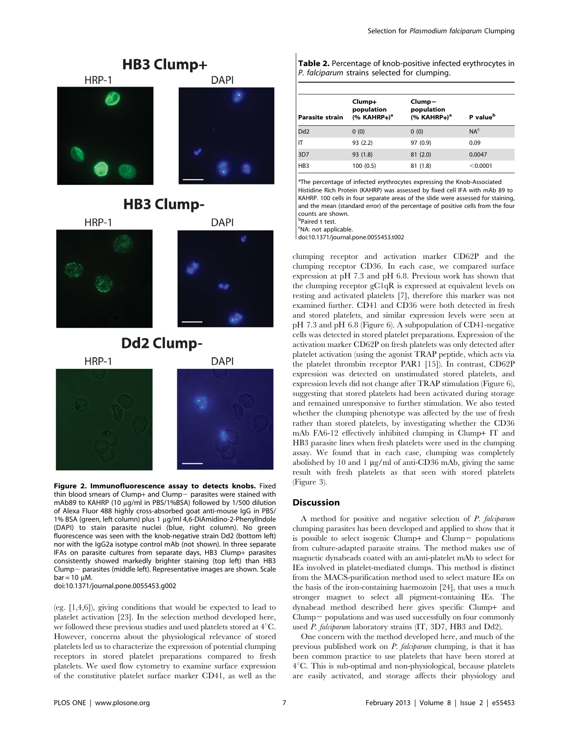

## **HB3 Clump-**

HRP-1



## **Dd2 Clump-**



Figure 2. Immunofluorescence assay to detects knobs. Fixed thin blood smears of Clump+ and Clump $-$  parasites were stained with mAb89 to KAHRP (10 µg/ml in PBS/1%BSA) followed by 1/500 dilution of Alexa Fluor 488 highly cross-absorbed goat anti-mouse IgG in PBS/ 1% BSA (green, left column) plus 1 µg/ml 4,6-DiAmidino-2-PhenylIndole (DAPI) to stain parasite nuclei (blue, right column). No green fluorescence was seen with the knob-negative strain Dd2 (bottom left) nor with the IgG2a isotype control mAb (not shown). In three separate IFAs on parasite cultures from separate days, HB3 Clump+ parasites consistently showed markedly brighter staining (top left) than HB3 Clump- parasites (middle left). Representative images are shown. Scale  $bar = 10 \mu M$ .

doi:10.1371/journal.pone.0055453.g002

(eg. [1,4,6]), giving conditions that would be expected to lead to platelet activation [23]. In the selection method developed here, we followed these previous studies and used platelets stored at  $4^{\circ}$ C. However, concerns about the physiological relevance of stored platelets led us to characterize the expression of potential clumping receptors in stored platelet preparations compared to fresh platelets. We used flow cytometry to examine surface expression of the constitutive platelet surface marker CD41, as well as the Table 2. Percentage of knob-positive infected erythrocytes in P. falciparum strains selected for clumping.

| <b>Parasite strain</b> | Clump+<br>population<br>$(% KAHRP+)^a$ | Clump-<br>population<br>$(% KAHRP+)^a$ | P value <sup>b</sup> |
|------------------------|----------------------------------------|----------------------------------------|----------------------|
| Dd <sub>2</sub>        | 0(0)                                   | 0(0)                                   | NA <sup>c</sup>      |
| IT                     | 93(2.2)                                | 97 (0.9)                               | 0.09                 |
| 3D7                    | 93 (1.8)                               | 81(2.0)                                | 0.0047               |
| HB <sub>3</sub>        | 100 (0.5)                              | 81(1.8)                                | < 0.0001             |

<sup>a</sup>The percentage of infected erythrocytes expressing the Knob-Associated Histidine Rich Protein (KAHRP) was assessed by fixed cell IFA with mAb 89 to KAHRP. 100 cells in four separate areas of the slide were assessed for staining, and the mean (standard error) of the percentage of positive cells from the four counts are shown.

b Paired t test.

<sup>c</sup>NA: not applicable.

doi:10.1371/journal.pone.0055453.t002

clumping receptor and activation marker CD62P and the clumping receptor CD36. In each case, we compared surface expression at pH 7.3 and pH 6.8. Previous work has shown that the clumping receptor gC1qR is expressed at equivalent levels on resting and activated platelets [7], therefore this marker was not examined further. CD41 and CD36 were both detected in fresh and stored platelets, and similar expression levels were seen at pH 7.3 and pH 6.8 (Figure 6). A subpopulation of CD41-negative cells was detected in stored platelet preparations. Expression of the activation marker CD62P on fresh platelets was only detected after platelet activation (using the agonist TRAP peptide, which acts via the platelet thrombin receptor PAR1 [15]). In contrast, CD62P expression was detected on unstimulated stored platelets, and expression levels did not change after TRAP stimulation (Figure 6), suggesting that stored platelets had been activated during storage and remained unresponsive to further stimulation. We also tested whether the clumping phenotype was affected by the use of fresh rather than stored platelets, by investigating whether the CD36 mAb FA6-12 effectively inhibited clumping in Clump+ IT and HB3 parasite lines when fresh platelets were used in the clumping assay. We found that in each case, clumping was completely abolished by 10 and 1  $\mu$ g/ml of anti-CD36 mAb, giving the same result with fresh platelets as that seen with stored platelets (Figure 3).

#### **Discussion**

A method for positive and negative selection of P. falciparum clumping parasites has been developed and applied to show that it is possible to select isogenic Clump+ and Clump $-$  populations from culture-adapted parasite strains. The method makes use of magnetic dynabeads coated with an anti-platelet mAb to select for IEs involved in platelet-mediated clumps. This method is distinct from the MACS-purification method used to select mature IEs on the basis of the iron-containing haemozoin [24], that uses a much stronger magnet to select all pigment-containing IEs. The dynabead method described here gives specific Clump+ and  $Clump$  populations and was used successfully on four commonly used P. falciparum laboratory strains (IT, 3D7, HB3 and Dd2).

One concern with the method developed here, and much of the previous published work on P. falciparum clumping, is that it has been common practice to use platelets that have been stored at  $4^{\circ}$ C. This is sub-optimal and non-physiological, because platelets are easily activated, and storage affects their physiology and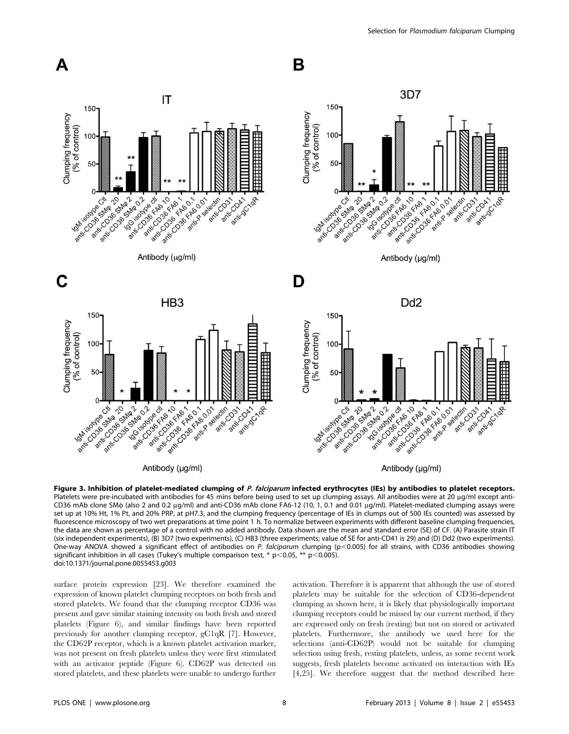

Figure 3. Inhibition of platelet-mediated clumping of P. falciparum infected erythrocytes (IEs) by antibodies to platelet receptors. Platelets were pre-incubated with antibodies for 45 mins before being used to set up clumping assays. All antibodies were at 20 µg/ml except anti-CD36 mAb clone SM $\phi$  (also 2 and 0.2 µg/ml) and anti-CD36 mAb clone FA6-12 (10, 1, 0.1 and 0.01 µg/ml). Platelet-mediated clumping assays were set up at 10% Ht, 1% Pt, and 20% PRP, at pH7.3, and the clumping frequency (percentage of IEs in clumps out of 500 IEs counted) was assessed by fluorescence microscopy of two wet preparations at time point 1 h. To normalize between experiments with different baseline clumping frequencies, the data are shown as percentage of a control with no added antibody. Data shown are the mean and standard error (SE) of CF. (A) Parasite strain IT (six independent experiments), (B) 3D7 (two experiments), (C) HB3 (three experiments; value of SE for anti-CD41 is 29) and (D) Dd2 (two experiments). One-way ANOVA showed a significant effect of antibodies on P. falciparum clumping (p<0.005) for all strains, with CD36 antibodies showing significant inhibition in all cases (Tukey's multiple comparison test, \*  $p$  < 0.05, \*\*  $p$  < 0.005). doi:10.1371/journal.pone.0055453.g003

surface protein expression [23]. We therefore examined the expression of known platelet clumping receptors on both fresh and stored platelets. We found that the clumping receptor CD36 was present and gave similar staining intensity on both fresh and stored platelets (Figure 6), and similar findings have been reported previously for another clumping receptor, gC1qR [7]. However, the CD62P receptor, which is a known platelet activation marker, was not present on fresh platelets unless they were first stimulated with an activator peptide (Figure 6). CD62P was detected on stored platelets, and these platelets were unable to undergo further activation. Therefore it is apparent that although the use of stored platelets may be suitable for the selection of CD36-dependent clumping as shown here, it is likely that physiologically important clumping receptors could be missed by our current method, if they are expressed only on fresh (resting) but not on stored or activated platelets. Furthermore, the antibody we used here for the selections (anti-CD62P) would not be suitable for clumping selection using fresh, resting platelets, unless, as some recent work suggests, fresh platelets become activated on interaction with IEs [4,25]. We therefore suggest that the method described here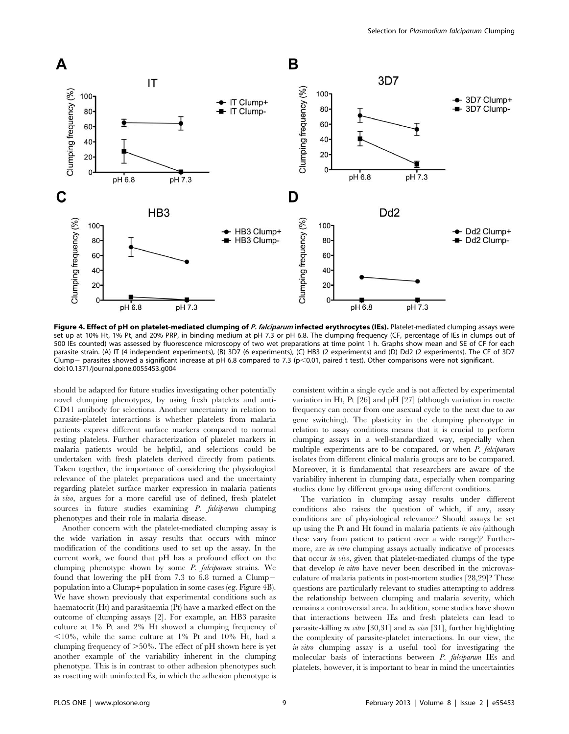

Figure 4. Effect of pH on platelet-mediated clumping of P. falciparum infected erythrocytes (IEs). Platelet-mediated clumping assays were set up at 10% Ht, 1% Pt, and 20% PRP, in binding medium at pH 7.3 or pH 6.8. The clumping frequency (CF, percentage of IEs in clumps out of 500 IEs counted) was assessed by fluorescence microscopy of two wet preparations at time point 1 h. Graphs show mean and SE of CF for each parasite strain. (A) IT (4 independent experiments), (B) 3D7 (6 experiments), (C) HB3 (2 experiments) and (D) Dd2 (2 experiments). The CF of 3D7 Clump – parasites showed a significant increase at pH 6.8 compared to 7.3 (p<0.01, paired t test). Other comparisons were not significant. doi:10.1371/journal.pone.0055453.g004

should be adapted for future studies investigating other potentially novel clumping phenotypes, by using fresh platelets and anti-CD41 antibody for selections. Another uncertainty in relation to parasite-platelet interactions is whether platelets from malaria patients express different surface markers compared to normal resting platelets. Further characterization of platelet markers in malaria patients would be helpful, and selections could be undertaken with fresh platelets derived directly from patients. Taken together, the importance of considering the physiological relevance of the platelet preparations used and the uncertainty regarding platelet surface marker expression in malaria patients in vivo, argues for a more careful use of defined, fresh platelet sources in future studies examining *P. falciparum* clumping phenotypes and their role in malaria disease.

Another concern with the platelet-mediated clumping assay is the wide variation in assay results that occurs with minor modification of the conditions used to set up the assay. In the current work, we found that pH has a profound effect on the clumping phenotype shown by some P. falciparum strains. We found that lowering the pH from 7.3 to 6.8 turned a Clumppopulation into a Clump+ population in some cases (eg. Figure 4B). We have shown previously that experimental conditions such as haematocrit (Ht) and parasitaemia (Pt) have a marked effect on the outcome of clumping assays [2]. For example, an HB3 parasite culture at 1% Pt and 2% Ht showed a clumping frequency of  $<$ 10%, while the same culture at 1% Pt and 10% Ht, had a clumping frequency of  $>50\%$ . The effect of pH shown here is yet another example of the variability inherent in the clumping phenotype. This is in contrast to other adhesion phenotypes such as rosetting with uninfected Es, in which the adhesion phenotype is consistent within a single cycle and is not affected by experimental variation in Ht, Pt [26] and pH [27] (although variation in rosette frequency can occur from one asexual cycle to the next due to var gene switching). The plasticity in the clumping phenotype in relation to assay conditions means that it is crucial to perform clumping assays in a well-standardized way, especially when multiple experiments are to be compared, or when P. falciparum isolates from different clinical malaria groups are to be compared. Moreover, it is fundamental that researchers are aware of the variability inherent in clumping data, especially when comparing studies done by different groups using different conditions.

The variation in clumping assay results under different conditions also raises the question of which, if any, assay conditions are of physiological relevance? Should assays be set up using the Pt and Ht found in malaria patients in vivo (although these vary from patient to patient over a wide range)? Furthermore, are *in vitro* clumping assays actually indicative of processes that occur in vivo, given that platelet-mediated clumps of the type that develop in vitro have never been described in the microvasculature of malaria patients in post-mortem studies [28,29]? These questions are particularly relevant to studies attempting to address the relationship between clumping and malaria severity, which remains a controversial area. In addition, some studies have shown that interactions between IEs and fresh platelets can lead to parasite-killing in vitro [30,31] and in vivo [31], further highlighting the complexity of parasite-platelet interactions. In our view, the in vitro clumping assay is a useful tool for investigating the molecular basis of interactions between P. falciparum IEs and platelets, however, it is important to bear in mind the uncertainties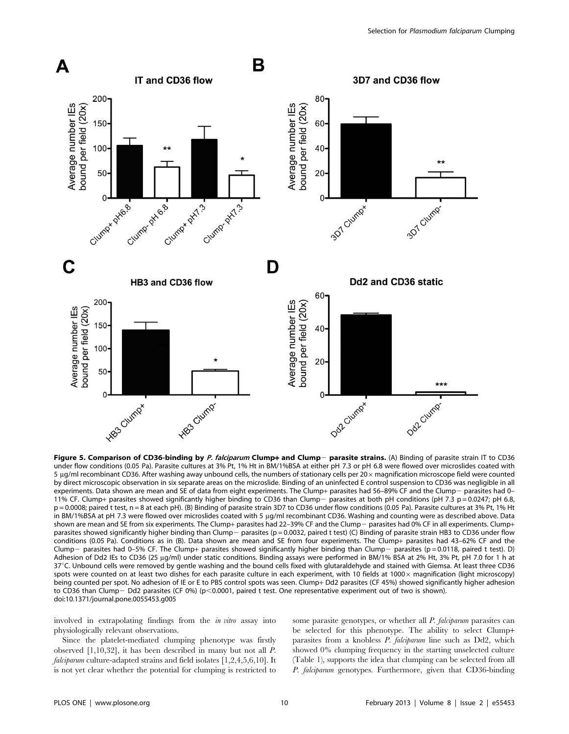

Figure 5. Comparison of CD36-binding by P. falciparum Clump+ and Clump- parasite strains. (A) Binding of parasite strain IT to CD36 under flow conditions (0.05 Pa). Parasite cultures at 3% Pt, 1% Ht in BM/1%BSA at either pH 7.3 or pH 6.8 were flowed over microslides coated with 5 µg/ml recombinant CD36. After washing away unbound cells, the numbers of stationary cells per 20 x magnification microscope field were counted by direct microscopic observation in six separate areas on the microslide. Binding of an uninfected E control suspension to CD36 was negligible in all experiments. Data shown are mean and SE of data from eight experiments. The Clump+ parasites had 56-89% CF and the Clump- parasites had 0-11% CF. Clump+ parasites showed significantly higher binding to CD36 than Clump- parasites at both pH conditions (pH 7.3 p = 0.0247; pH 6.8, p = 0.0008; paired t test, n = 8 at each pH). (B) Binding of parasite strain 3D7 to CD36 under flow conditions (0.05 Pa). Parasite cultures at 3% Pt, 1% Ht in BM/1%BSA at pH 7.3 were flowed over microslides coated with 5 µg/ml recombinant CD36. Washing and counting were as described above. Data shown are mean and SE from six experiments. The Clump+ parasites had 22-39% CF and the Clump- parasites had 0% CF in all experiments. Clump+ parasites showed significantly higher binding than Clump- parasites (p = 0.0032, paired t test) (C) Binding of parasite strain HB3 to CD36 under flow conditions (0.05 Pa). Conditions as in (B). Data shown are mean and SE from four experiments. The Clump+ parasites had 43–62% CF and the Clump- parasites had 0–5% CF. The Clump+ parasites showed significantly higher binding than Clump- parasites (p=0.0118, paired t test). D) Adhesion of Dd2 IEs to CD36 (25 µg/ml) under static conditions. Binding assays were performed in BM/1% BSA at 2% Ht, 3% Pt, pH 7.0 for 1 h at 37°C. Unbound cells were removed by gentle washing and the bound cells fixed with glutaraldehyde and stained with Giemsa. At least three CD36 spots were counted on at least two dishes for each parasite culture in each experiment, with 10 fields at 1000 x magnification (light microscopy) being counted per spot. No adhesion of IE or E to PBS control spots was seen. Clump+ Dd2 parasites (CF 45%) showed significantly higher adhesion to CD36 than Clump- Dd2 parasites (CF 0%) (p<0.0001, paired t test. One representative experiment out of two is shown). doi:10.1371/journal.pone.0055453.g005

involved in extrapolating findings from the in vitro assay into physiologically relevant observations.

Since the platelet-mediated clumping phenotype was firstly observed [1,10,32], it has been described in many but not all P. *falciparum* culture-adapted strains and field isolates  $[1,2,4,5,6,10]$ . It is not yet clear whether the potential for clumping is restricted to some parasite genotypes, or whether all P. falciparum parasites can be selected for this phenotype. The ability to select Clump+ parasites from a knobless P. falciparum line such as Dd2, which showed 0% clumping frequency in the starting unselected culture (Table 1), supports the idea that clumping can be selected from all P. falciparum genotypes. Furthermore, given that CD36-binding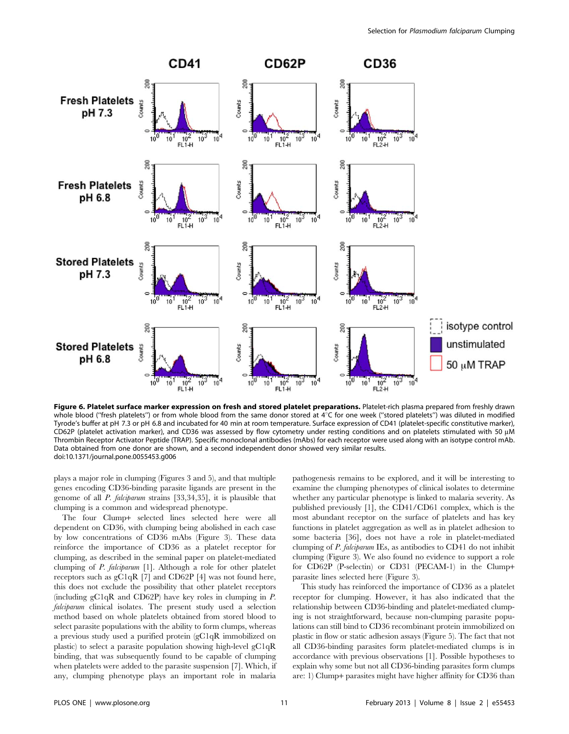

Figure 6. Platelet surface marker expression on fresh and stored platelet preparations. Platelet-rich plasma prepared from freshly drawn whole blood ("fresh platelets") or from whole blood from the same donor stored at  $4^{\circ}$ C for one week ("stored platelets") was diluted in modified Tyrode's buffer at pH 7.3 or pH 6.8 and incubated for 40 min at room temperature. Surface expression of CD41 (platelet-specific constitutive marker), CD62P (platelet activation marker), and CD36 was assessed by flow cytometry under resting conditions and on platelets stimulated with 50 µM Thrombin Receptor Activator Peptide (TRAP). Specific monoclonal antibodies (mAbs) for each receptor were used along with an isotype control mAb. Data obtained from one donor are shown, and a second independent donor showed very similar results. doi:10.1371/journal.pone.0055453.g006

plays a major role in clumping (Figures 3 and 5), and that multiple genes encoding CD36-binding parasite ligands are present in the genome of all P. falciparum strains [33,34,35], it is plausible that clumping is a common and widespread phenotype.

The four Clump+ selected lines selected here were all dependent on CD36, with clumping being abolished in each case by low concentrations of CD36 mAbs (Figure 3). These data reinforce the importance of CD36 as a platelet receptor for clumping, as described in the seminal paper on platelet-mediated clumping of P. falciparum [1]. Although a role for other platelet receptors such as gC1qR [7] and CD62P [4] was not found here, this does not exclude the possibility that other platelet receptors (including gC1qR and CD62P) have key roles in clumping in P. falciparum clinical isolates. The present study used a selection method based on whole platelets obtained from stored blood to select parasite populations with the ability to form clumps, whereas a previous study used a purified protein (gC1qR immobilized on plastic) to select a parasite population showing high-level gC1qR binding, that was subsequently found to be capable of clumping when platelets were added to the parasite suspension [7]. Which, if any, clumping phenotype plays an important role in malaria pathogenesis remains to be explored, and it will be interesting to examine the clumping phenotypes of clinical isolates to determine whether any particular phenotype is linked to malaria severity. As published previously [1], the CD41/CD61 complex, which is the most abundant receptor on the surface of platelets and has key functions in platelet aggregation as well as in platelet adhesion to some bacteria [36], does not have a role in platelet-mediated clumping of P. falciparum IEs, as antibodies to CD41 do not inhibit clumping (Figure 3). We also found no evidence to support a role for CD62P (P-selectin) or CD31 (PECAM-1) in the Clump+ parasite lines selected here (Figure 3).

This study has reinforced the importance of CD36 as a platelet receptor for clumping. However, it has also indicated that the relationship between CD36-binding and platelet-mediated clumping is not straightforward, because non-clumping parasite populations can still bind to CD36 recombinant protein immobilized on plastic in flow or static adhesion assays (Figure 5). The fact that not all CD36-binding parasites form platelet-mediated clumps is in accordance with previous observations [1]. Possible hypotheses to explain why some but not all CD36-binding parasites form clumps are: 1) Clump+ parasites might have higher affinity for CD36 than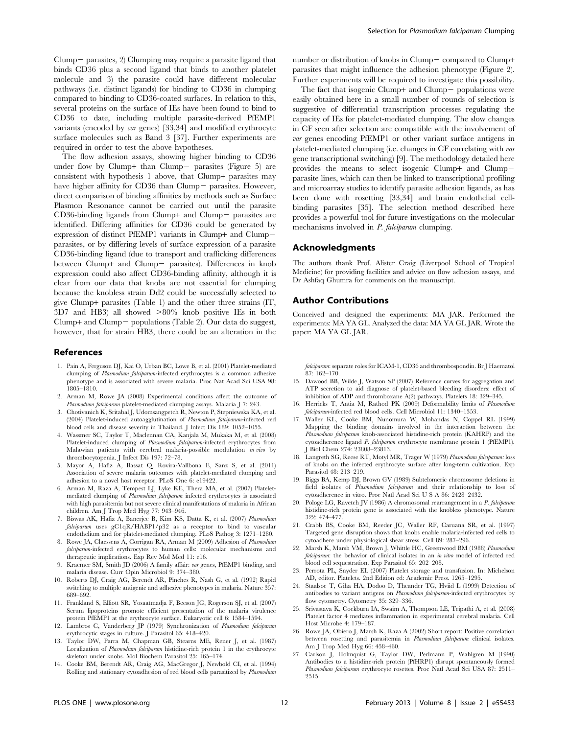$Clump-$  parasites, 2)  $Clump$  may require a parasite ligand that binds CD36 plus a second ligand that binds to another platelet molecule and 3) the parasite could have different molecular pathways (i.e. distinct ligands) for binding to CD36 in clumping compared to binding to CD36-coated surfaces. In relation to this, several proteins on the surface of IEs have been found to bind to CD36 to date, including multiple parasite-derived PfEMP1 variants (encoded by var genes) [33,34] and modified erythrocyte surface molecules such as Band 3 [37]. Further experiments are required in order to test the above hypotheses.

The flow adhesion assays, showing higher binding to CD36 under flow by Clump+ than Clump- parasites (Figure 5) are consistent with hypothesis 1 above, that Clump+ parasites may have higher affinity for  $CD36$  than  $Clump-$  parasites. However, direct comparison of binding affinities by methods such as Surface Plasmon Resonance cannot be carried out until the parasite  $CD36$ -binding ligands from Clump+ and Clump- parasites are identified. Differing affinities for CD36 could be generated by expression of distinct PfEMP1 variants in Clump+ and Clumpparasites, or by differing levels of surface expression of a parasite CD36-binding ligand (due to transport and trafficking differences between Clump+ and Clump- parasites). Differences in knob expression could also affect CD36-binding affinity, although it is clear from our data that knobs are not essential for clumping because the knobless strain Dd2 could be successfully selected to give Clump+ parasites (Table 1) and the other three strains (IT,  $3D7$  and HB3) all showed  $>80\%$  knob positive IEs in both Clump+ and Clump $-$  populations (Table 2). Our data do suggest, however, that for strain HB3, there could be an alteration in the

#### References

- 1. Pain A, Ferguson DJ, Kai O, Urban BC, Lowe B, et al. (2001) Platelet-mediated clumping of Plasmodium falciparum-infected erythrocytes is a common adhesive phenotype and is associated with severe malaria. Proc Nat Acad Sci USA 98: 1805–1810.
- 2. Arman M, Rowe JA (2008) Experimental conditions affect the outcome of Plasmodium falcibarum platelet-mediated clumping assays. Malaria I 7: 243.
- 3. Chotivanich K, Sritabal J, Udomsangpetch R, Newton P, Stepniewska KA, et al. (2004) Platelet-induced autoagglutination of Plasmodium falciparum-infected red blood cells and disease severity in Thailand. J Infect Dis 189: 1052–1055.
- 4. Wassmer SC, Taylor T, Maclennan CA, Kanjala M, Mukaka M, et al. (2008) Platelet-induced clumping of Plasmodium falciparum-infected erythrocytes from Malawian patients with cerebral malaria-possible modulation in vivo by thrombocytopenia. J Infect Dis 197: 72–78.
- 5. Mayor A, Hafiz A, Bassat Q, Rovira-Vallbona E, Sanz S, et al. (2011) Association of severe malaria outcomes with platelet-mediated clumping and adhesion to a novel host receptor. PLoS One 6: e19422.
- 6. Arman M, Raza A, Tempest LJ, Lyke KE, Thera MA, et al. (2007) Plateletmediated clumping of Plasmodium falciparum infected erythrocytes is associated with high parasitemia but not severe clinical manifestations of malaria in African children. Am J Trop Med Hyg 77: 943–946.
- 7. Biswas AK, Hafiz A, Banerjee B, Kim KS, Datta K, et al. (2007) Plasmodium falciparum uses gC1qR/HABP1/p32 as a receptor to bind to vascular endothelium and for platelet-mediated clumping. PLoS Pathog 3: 1271–1280.
- 8. Rowe JA, Claessens A, Corrigan RA, Arman M (2009) Adhesion of Plasmodium falciparum-infected erythrocytes to human cells: molecular mechanisms and therapeutic implications. Exp Rev Mol Med 11: e16.
- 9. Kraemer SM, Smith JD (2006) A family affair: var genes, PfEMP1 binding, and malaria disease. Curr Opin Microbiol 9: 374–380.
- 10. Roberts DJ, Craig AG, Berendt AR, Pinches R, Nash G, et al. (1992) Rapid switching to multiple antigenic and adhesive phenotypes in malaria. Nature 357: 689–692.
- 11. Frankland S, Elliott SR, Yosaatmadja F, Beeson JG, Rogerson SJ, et al. (2007) Serum lipoproteins promote efficient presentation of the malaria virulence protein PfEMP1 at the erythrocyte surface. Eukaryotic cell 6: 1584–1594.
- 12. Lambros C, Vanderberg JP (1979) Synchronization of Plasmodium falciparum erythrocytic stages in culture. J Parasitol 65: 418–420.
- 13. Taylor DW, Parra M, Chapman GB, Stearns ME, Rener J, et al. (1987) Localization of Plasmodium falciparum histidine-rich protein 1 in the erythrocyte skeleton under knobs. Mol Biochem Parasitol 25: 165–174.

Selection for Plasmodium falciparum Clumping

number or distribution of knobs in Clump- compared to Clump+ parasites that might influence the adhesion phenotype (Figure 2). Further experiments will be required to investigate this possibility.

The fact that isogenic Clump+ and Clump $-$  populations were easily obtained here in a small number of rounds of selection is suggestive of differential transcription processes regulating the capacity of IEs for platelet-mediated clumping. The slow changes in CF seen after selection are compatible with the involvement of var genes encoding PfEMP1 or other variant surface antigens in platelet-mediated clumping (i.e. changes in CF correlating with var gene transcriptional switching) [9]. The methodology detailed here provides the means to select isogenic Clump+ and Clumpparasite lines, which can then be linked to transcriptional profiling and microarray studies to identify parasite adhesion ligands, as has been done with rosetting [33,34] and brain endothelial cellbinding parasites [35]. The selection method described here provides a powerful tool for future investigations on the molecular mechanisms involved in P. falciparum clumping.

## Acknowledgments

The authors thank Prof. Alister Craig (Liverpool School of Tropical Medicine) for providing facilities and advice on flow adhesion assays, and Dr Ashfaq Ghumra for comments on the manuscript.

#### Author Contributions

Conceived and designed the experiments: MA JAR. Performed the experiments: MA YA GL. Analyzed the data: MA YA GL JAR. Wrote the paper: MA YA GL JAR.

falciparum: separate roles for ICAM-1, CD36 and thrombospondin. Br J Haematol  $87:162-170.$ 

- 15. Dawood BB, Wilde J, Watson SP (2007) Reference curves for aggregation and ATP secretion to aid diagnose of platelet-based bleeding disorders: effect of inhibition of ADP and thromboxane A(2) pathways. Platelets 18: 329–345.
- 16. Herricks T, Antia M, Rathod PK (2009) Deformability limits of Plasmodium falciparum-infected red blood cells. Cell Microbiol 11: 1340–1353.
- 17. Waller KL, Cooke BM, Nunomura W, Mohandas N, Coppel RL (1999) Mapping the binding domains involved in the interaction between the Plasmodium falciparum knob-associated histidine-rich protein (KAHRP) and the cytoadherence ligand P. falciparum erythrocyte membrane protein 1 (PfEMP1). J Biol Chem 274: 23808–23813.
- 18. Langreth SG, Reese RT, Motyl MR, Trager W (1979) Plasmodium falciparum: loss of knobs on the infected erythrocyte surface after long-term cultivation. Exp Parasitol 48: 213–219.
- 19. Biggs BA, Kemp DJ, Brown GV (1989) Subtelomeric chromosome deletions in field isolates of Plasmodium falciparum and their relationship to loss of cytoadherence in vitro. Proc Natl Acad Sci U S A 86: 2428–2432.
- 20. Pologe LG, Ravetch JV (1986) A chromosomal rearrangement in a P. falciparum histidine-rich protein gene is associated with the knobless phenotype. Nature 322: 474–477.
- 21. Crabb BS, Cooke BM, Reeder JC, Waller RF, Caruana SR, et al. (1997) Targeted gene disruption shows that knobs enable malaria-infected red cells to cytoadhere under physiological shear stress. Cell 89: 287–296.
- 22. Marsh K, Marsh VM, Brown J, Whittle HC, Greenwood BM (1988) Plasmodium falciparum: the behavior of clinical isolates in an in vitro model of infected red blood cell sequestration. Exp Parasitol 65: 202–208.
- 23. Perrota PL, Snyder EL (2007) Platelet storage and transfusion. In: Michelson AD, editor. Platelets. 2nd Edition ed: Academic Press. 1265–1295.
- 24. Staalsoe T, Giha HA, Dodoo D, Theander TG, Hviid L (1999) Detection of antibodies to variant antigens on Plasmodium falciparum-infected erythrocytes by flow cytometry. Cytometry 35: 329–336.
- 25. Srivastava K, Cockburn IA, Swaim A, Thompson LE, Tripathi A, et al. (2008) Platelet factor 4 mediates inflammation in experimental cerebral malaria. Cell Host Microbe 4: 179–187.
- 26. Rowe JA, Obiero J, Marsh K, Raza A (2002) Short report: Positive correlation between rosetting and parasitemia in Plasmodium falciparum clinical isolates. Am J Trop Med Hyg 66: 458–460.
- 27. Carlson J, Holmquist G, Taylor DW, Perlmann P, Wahlgren M (1990) Antibodies to a histidine-rich protein (PfHRP1) disrupt spontaneously formed Plasmodium falciparum erythrocyte rosettes. Proc Natl Acad Sci USA 87: 2511– 2515.
- 14. Cooke BM, Berendt AR, Craig AG, MacGregor J, Newbold CI, et al. (1994) Rolling and stationary cytoadhesion of red blood cells parasitized by Plasmodium